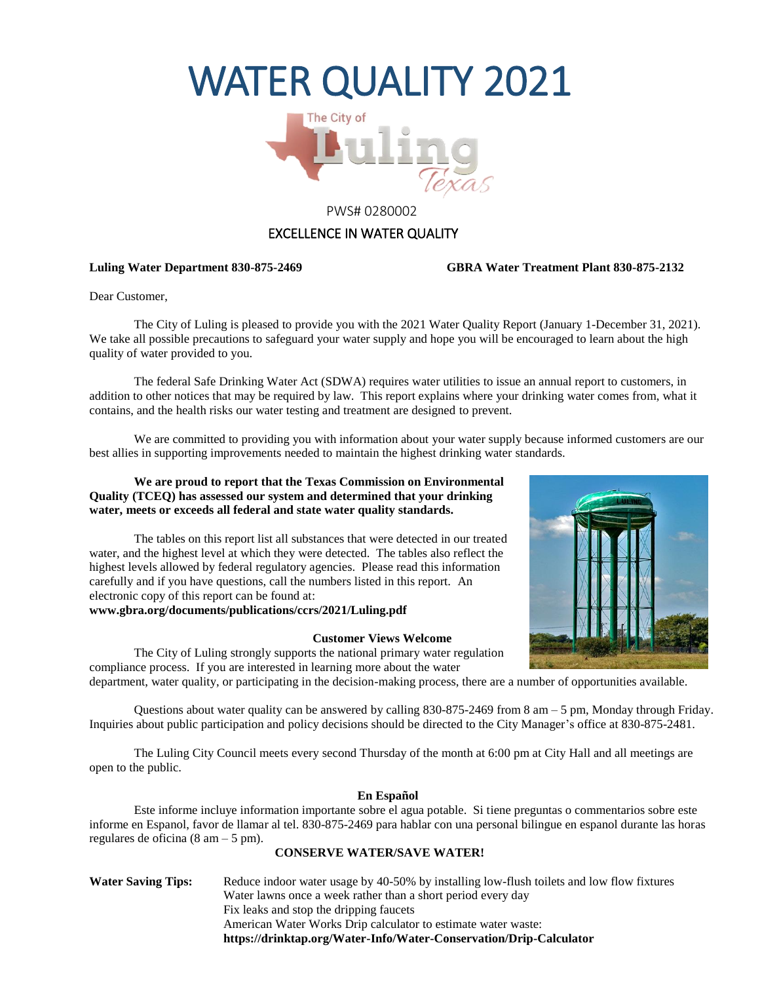# WATER QUALITY 2021



#### PWS# 0280002

#### EXCELLENCE IN WATER QUALITY

#### **Luling Water Department 830-875-2469 GBRA Water Treatment Plant 830-875-2132**

Dear Customer,

The City of Luling is pleased to provide you with the 2021 Water Quality Report (January 1-December 31, 2021). We take all possible precautions to safeguard your water supply and hope you will be encouraged to learn about the high quality of water provided to you.

The federal Safe Drinking Water Act (SDWA) requires water utilities to issue an annual report to customers, in addition to other notices that may be required by law. This report explains where your drinking water comes from, what it contains, and the health risks our water testing and treatment are designed to prevent.

We are committed to providing you with information about your water supply because informed customers are our best allies in supporting improvements needed to maintain the highest drinking water standards.

#### **We are proud to report that the Texas Commission on Environmental Quality (TCEQ) has assessed our system and determined that your drinking water, meets or exceeds all federal and state water quality standards.**

The tables on this report list all substances that were detected in our treated water, and the highest level at which they were detected. The tables also reflect the highest levels allowed by federal regulatory agencies. Please read this information carefully and if you have questions, call the numbers listed in this report. An electronic copy of this report can be found at:

**www.gbra.org/documents/publications/ccrs/2021/Luling.pdf**

#### **Customer Views Welcome**



The City of Luling strongly supports the national primary water regulation compliance process. If you are interested in learning more about the water department, water quality, or participating in the decision-making process, there are a number of opportunities available.

Questions about water quality can be answered by calling 830-875-2469 from 8 am – 5 pm, Monday through Friday. Inquiries about public participation and policy decisions should be directed to the City Manager's office at 830-875-2481.

The Luling City Council meets every second Thursday of the month at 6:00 pm at City Hall and all meetings are open to the public.

#### **En Español**

Este informe incluye information importante sobre el agua potable. Si tiene preguntas o commentarios sobre este informe en Espanol, favor de llamar al tel. 830-875-2469 para hablar con una personal bilingue en espanol durante las horas regulares de oficina  $(8 \text{ am} - 5 \text{ pm})$ .

#### **CONSERVE WATER/SAVE WATER!**

Water Saving Tips: Reduce indoor water usage by 40-50% by installing low-flush toilets and low flow fixtures Water lawns once a week rather than a short period every day Fix leaks and stop the dripping faucets American Water Works Drip calculator to estimate water waste: **https://drinktap.org/Water-Info/Water-Conservation/Drip-Calculator**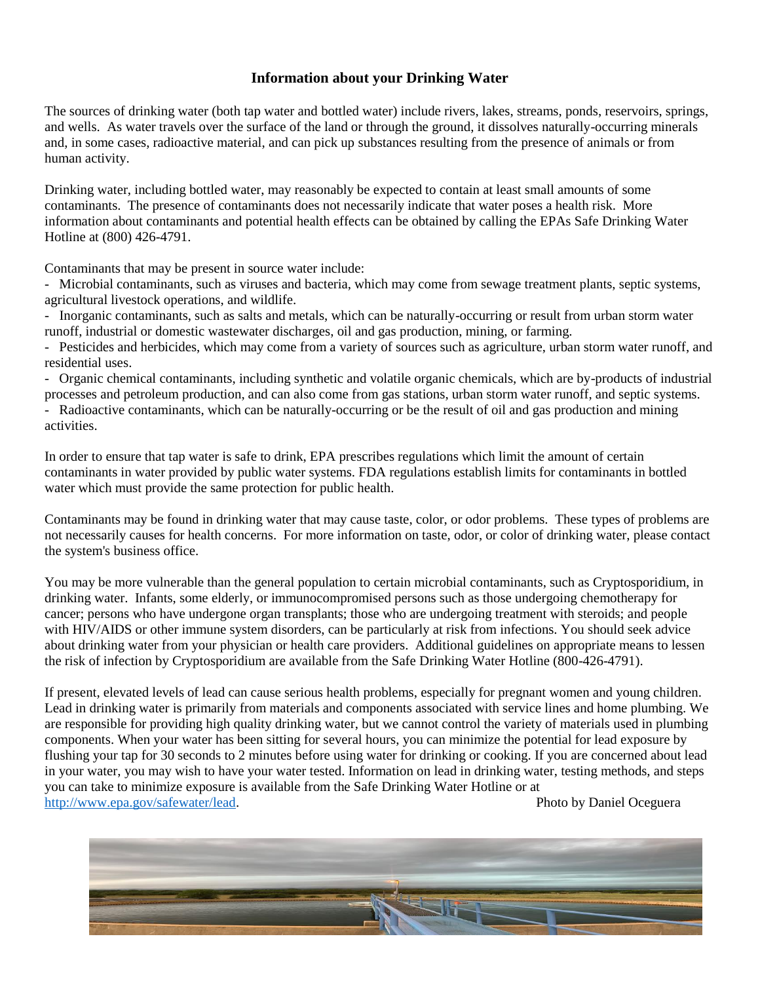### **Information about your Drinking Water**

The sources of drinking water (both tap water and bottled water) include rivers, lakes, streams, ponds, reservoirs, springs, and wells. As water travels over the surface of the land or through the ground, it dissolves naturally-occurring minerals and, in some cases, radioactive material, and can pick up substances resulting from the presence of animals or from human activity.

Drinking water, including bottled water, may reasonably be expected to contain at least small amounts of some contaminants. The presence of contaminants does not necessarily indicate that water poses a health risk. More information about contaminants and potential health effects can be obtained by calling the EPAs Safe Drinking Water Hotline at (800) 426-4791.

Contaminants that may be present in source water include:

- Microbial contaminants, such as viruses and bacteria, which may come from sewage treatment plants, septic systems, agricultural livestock operations, and wildlife.

- Inorganic contaminants, such as salts and metals, which can be naturally-occurring or result from urban storm water runoff, industrial or domestic wastewater discharges, oil and gas production, mining, or farming.

- Pesticides and herbicides, which may come from a variety of sources such as agriculture, urban storm water runoff, and residential uses.

- Organic chemical contaminants, including synthetic and volatile organic chemicals, which are by-products of industrial processes and petroleum production, and can also come from gas stations, urban storm water runoff, and septic systems.

- Radioactive contaminants, which can be naturally-occurring or be the result of oil and gas production and mining activities.

In order to ensure that tap water is safe to drink, EPA prescribes regulations which limit the amount of certain contaminants in water provided by public water systems. FDA regulations establish limits for contaminants in bottled water which must provide the same protection for public health.

Contaminants may be found in drinking water that may cause taste, color, or odor problems. These types of problems are not necessarily causes for health concerns. For more information on taste, odor, or color of drinking water, please contact the system's business office.

You may be more vulnerable than the general population to certain microbial contaminants, such as Cryptosporidium, in drinking water. Infants, some elderly, or immunocompromised persons such as those undergoing chemotherapy for cancer; persons who have undergone organ transplants; those who are undergoing treatment with steroids; and people with HIV/AIDS or other immune system disorders, can be particularly at risk from infections. You should seek advice about drinking water from your physician or health care providers. Additional guidelines on appropriate means to lessen the risk of infection by Cryptosporidium are available from the Safe Drinking Water Hotline (800-426-4791).

If present, elevated levels of lead can cause serious health problems, especially for pregnant women and young children. Lead in drinking water is primarily from materials and components associated with service lines and home plumbing. We are responsible for providing high quality drinking water, but we cannot control the variety of materials used in plumbing components. When your water has been sitting for several hours, you can minimize the potential for lead exposure by flushing your tap for 30 seconds to 2 minutes before using water for drinking or cooking. If you are concerned about lead in your water, you may wish to have your water tested. Information on lead in drinking water, testing methods, and steps you can take to minimize exposure is available from the Safe Drinking Water Hotline or at [http://www.epa.gov/safewater/lead.](http://www.epa.gov/safewater/lead) Photo by Daniel Oceguera

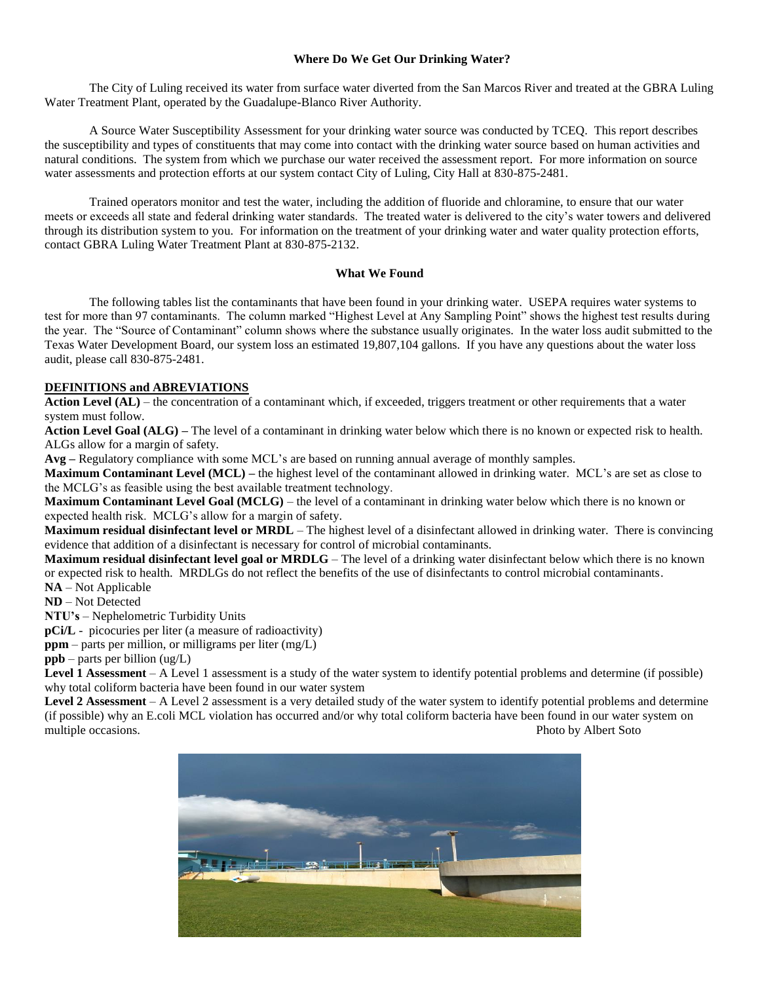#### **Where Do We Get Our Drinking Water?**

The City of Luling received its water from surface water diverted from the San Marcos River and treated at the GBRA Luling Water Treatment Plant, operated by the Guadalupe-Blanco River Authority.

A Source Water Susceptibility Assessment for your drinking water source was conducted by TCEQ. This report describes the susceptibility and types of constituents that may come into contact with the drinking water source based on human activities and natural conditions. The system from which we purchase our water received the assessment report. For more information on source water assessments and protection efforts at our system contact City of Luling, City Hall at 830-875-2481.

Trained operators monitor and test the water, including the addition of fluoride and chloramine, to ensure that our water meets or exceeds all state and federal drinking water standards. The treated water is delivered to the city's water towers and delivered through its distribution system to you. For information on the treatment of your drinking water and water quality protection efforts, contact GBRA Luling Water Treatment Plant at 830-875-2132.

#### **What We Found**

The following tables list the contaminants that have been found in your drinking water. USEPA requires water systems to test for more than 97 contaminants. The column marked "Highest Level at Any Sampling Point" shows the highest test results during the year. The "Source of Contaminant" column shows where the substance usually originates. In the water loss audit submitted to the Texas Water Development Board, our system loss an estimated 19,807,104 gallons. If you have any questions about the water loss audit, please call 830-875-2481.

#### **DEFINITIONS and ABREVIATIONS**

**Action Level (AL)** – the concentration of a contaminant which, if exceeded, triggers treatment or other requirements that a water system must follow.

**Action Level Goal (ALG) –** The level of a contaminant in drinking water below which there is no known or expected risk to health. ALGs allow for a margin of safety.

**Avg –** Regulatory compliance with some MCL's are based on running annual average of monthly samples.

**Maximum Contaminant Level (MCL) –** the highest level of the contaminant allowed in drinking water. MCL's are set as close to the MCLG's as feasible using the best available treatment technology.

**Maximum Contaminant Level Goal (MCLG)** – the level of a contaminant in drinking water below which there is no known or expected health risk. MCLG's allow for a margin of safety.

**Maximum residual disinfectant level or MRDL** – The highest level of a disinfectant allowed in drinking water. There is convincing evidence that addition of a disinfectant is necessary for control of microbial contaminants.

**Maximum residual disinfectant level goal or MRDLG** – The level of a drinking water disinfectant below which there is no known or expected risk to health. MRDLGs do not reflect the benefits of the use of disinfectants to control microbial contaminants. **NA** – Not Applicable

**ND** – Not Detected

**NTU's** – Nephelometric Turbidity Units

**pCi/L** - picocuries per liter (a measure of radioactivity)

**ppm** – parts per million, or milligrams per liter (mg/L)

**ppb** – parts per billion (ug/L)

**Level 1 Assessment** – A Level 1 assessment is a study of the water system to identify potential problems and determine (if possible) why total coliform bacteria have been found in our water system

**Level 2 Assessment** – A Level 2 assessment is a very detailed study of the water system to identify potential problems and determine (if possible) why an E.coli MCL violation has occurred and/or why total coliform bacteria have been found in our water system on multiple occasions. The extension of the extension of the extension of the extension of the extension of the extension of the extension of the extension of the extension of the extension of the extension of the extension o

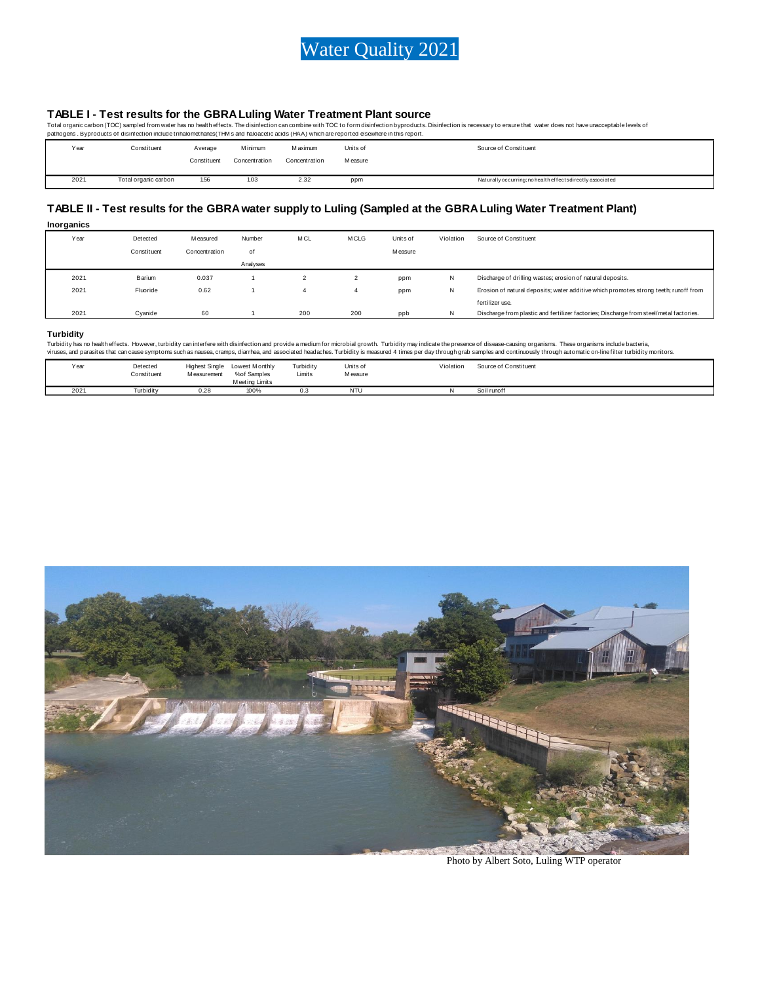

TABLE I - Test results for the GBRA Luling Water Treatment Plant source<br>Total organic carbon (TOC) sampled from water has no health effects. The disinfection can combine with TOC to form disinfection byproducts. Disinfecti

| patriogers . Dyproducts or disimection include trinalonetrialies( i min's and naioacetic acids (mAA) which are reported elsewhere in this report. |                      |             |               |                |          |                                                            |  |  |  |  |
|---------------------------------------------------------------------------------------------------------------------------------------------------|----------------------|-------------|---------------|----------------|----------|------------------------------------------------------------|--|--|--|--|
| Year                                                                                                                                              | Constituent          | Average     | M inimum      | <b>Maximum</b> | Units of | Source of Constituent                                      |  |  |  |  |
|                                                                                                                                                   |                      | Constituent | Concentration | Concentration  | Measure  |                                                            |  |  |  |  |
|                                                                                                                                                   |                      |             |               |                |          |                                                            |  |  |  |  |
| 2021                                                                                                                                              | Total organic carbon | 1.56        | 1.03          | 2.32           | ppm      | Naturally occurring; no health effects directly associated |  |  |  |  |

#### **TABLE II - Test results for the GBRA water supply to Luling (Sampled at the GBRA Luling Water Treatment Plant)**

| Inorganics |             |               |          |            |             |                |           |                                                                                        |
|------------|-------------|---------------|----------|------------|-------------|----------------|-----------|----------------------------------------------------------------------------------------|
| Year       | Detected    | M easured     | Number   | <b>MCL</b> | <b>MCLG</b> | Units of       | Violation | Source of Constituent                                                                  |
|            | Constituent | Concentration | οf       |            |             | <b>Measure</b> |           |                                                                                        |
|            |             |               | Analyses |            |             |                |           |                                                                                        |
| 2021       | Barium      | 0.037         |          |            |             | ppm            | N         | Discharge of drilling wastes; erosion of natural deposits.                             |
| 2021       | Fluoride    | 0.62          |          |            | 4           | ppm            | N         | Erosion of natural deposits; water additive which promotes strong teeth; runoff from   |
|            |             |               |          |            |             |                |           | fertilizer use.                                                                        |
| 2021       | Cvanide     | 60            |          | 200        | 200         | ppb            | N         | Discharge from plastic and fertilizer factories; Discharge from steel/metal factories. |

#### **Turbidity**

Turbidity has no health effects. However, turbidity can interfere with disinfection and provide a medium for microbial growth. Turbidity may indicate the presence of disease-causing organisms. These organisms include bacte viruses, and parasites that can cause symptoms such as nausea, cramps, diarrhea, and associated headaches. Turbidity is measured 4 times per day through grab samples and continuously through automatic on-line filter turbid

| Year | Detected<br>.<br>Constituent<br>. | <b>Highest Single</b><br>M easurement | Lowest Monthly<br>%of Samples<br>Meeting Limits | Turbidity<br>.<br>Limits | Units of<br>.<br><b>Measure</b><br>. | Violation<br>Source of Constituent<br>.<br>. |
|------|-----------------------------------|---------------------------------------|-------------------------------------------------|--------------------------|--------------------------------------|----------------------------------------------|
| 2021 | Turbidity                         | 0.28                                  | 100%                                            |                          | NTU                                  | Soil runoff                                  |



Photo by Albert Soto, Luling WTP operator